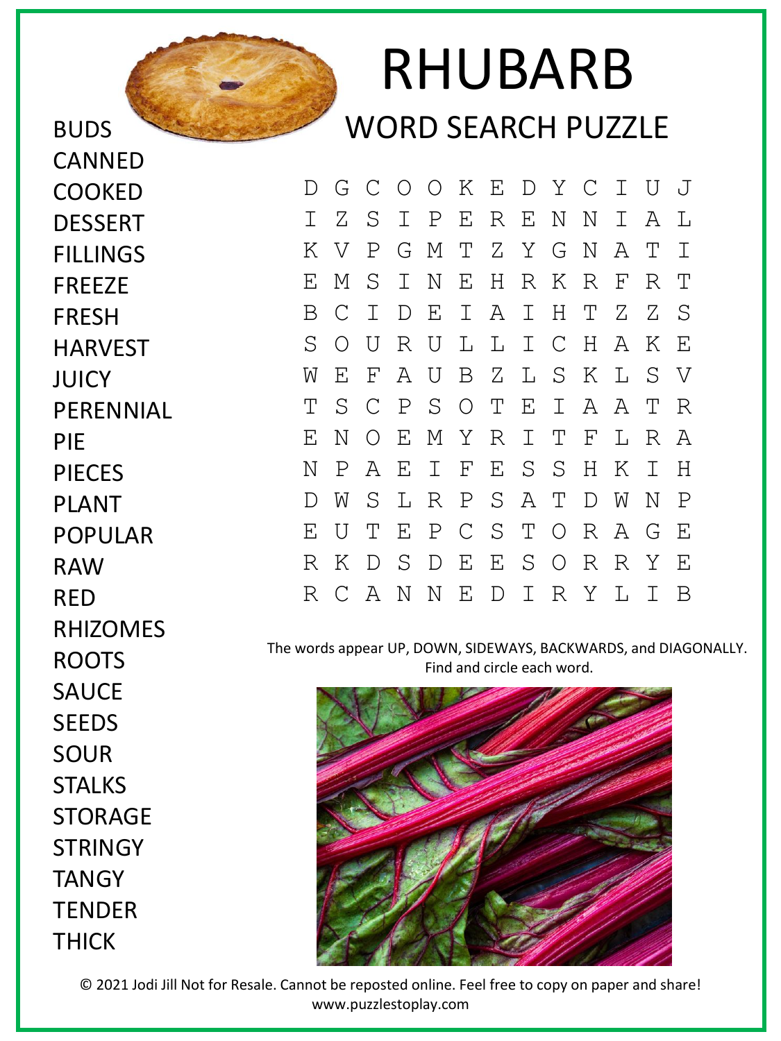

## RHUBARB WORD SEARCH PUZZLE

D G C O O K E D Y C I U J I Z S I P E R E N N I A L K V P G M T Z Y G N A T I E M S I N E H R K R F R T B C I D E I A I H T Z Z S S O U R U L L I C H A K E W E F A U B Z L S K L S V T S C P S O T E I A A T R E N O E M Y R I T F L R A N P A E I F E S S H K I H D W S L R P S A T D W N P E U T E P C S T O R A G E R K D S D E E S O R R Y E R C A N N E D I R Y L I B

The words appear UP, DOWN, SIDEWAYS, BACKWARDS, and DIAGONALLY. Find and circle each word.



HARVEST JUICY **PERENNIAL** PIE PIECES PLANT POPULAR RAW RED RHIZOMES ROOTS **SAUCF SEEDS** SOUR **STALKS** STORAGE **STRINGY TANGY TENDER** THICK

CANNED

COOKED

**DESSERT** 

FILLINGS

FREEZE

FRESH

© 2021 Jodi Jill Not for Resale. Cannot be reposted online. Feel free to copy on paper and share! www.puzzlestoplay.com